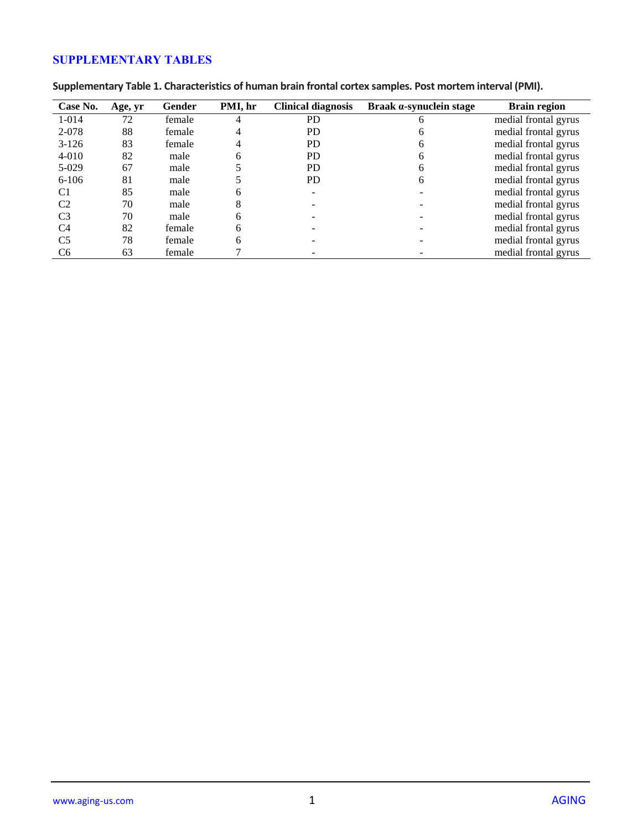## **SUPPLEMENTARY TABLES**

| Case No.       | Age, yr | Gender | PMI, hr | <b>Clinical diagnosis</b> | Braak a-synuclein stage | <b>Brain region</b>  |
|----------------|---------|--------|---------|---------------------------|-------------------------|----------------------|
| 1-014          | 72      | female |         | <b>PD</b>                 |                         | medial frontal gyrus |
| 2-078          | 88      | female |         | PD.                       |                         | medial frontal gyrus |
| $3-126$        | 83      | female |         | PD.                       |                         | medial frontal gyrus |
| $4 - 010$      | 82      | male   |         | PD.                       |                         | medial frontal gyrus |
| $5-029$        | 67      | male   |         | PD.                       |                         | medial frontal gyrus |
| $6-106$        | 81      | male   |         | PD.                       | h                       | medial frontal gyrus |
| C1             | 85      | male   | h.      |                           |                         | medial frontal gyrus |
| C <sub>2</sub> | 70      | male   |         |                           |                         | medial frontal gyrus |
| C <sub>3</sub> | 70      | male   |         |                           |                         | medial frontal gyrus |
| C <sub>4</sub> | 82      | female |         |                           |                         | medial frontal gyrus |
| C <sub>5</sub> | 78      | female |         |                           |                         | medial frontal gyrus |
| C <sub>6</sub> | 63      | female |         |                           |                         | medial frontal gyrus |

**Supplementary Table 1. Characteristics of human brain frontal cortex samples. Post mortem interval (PMI).**